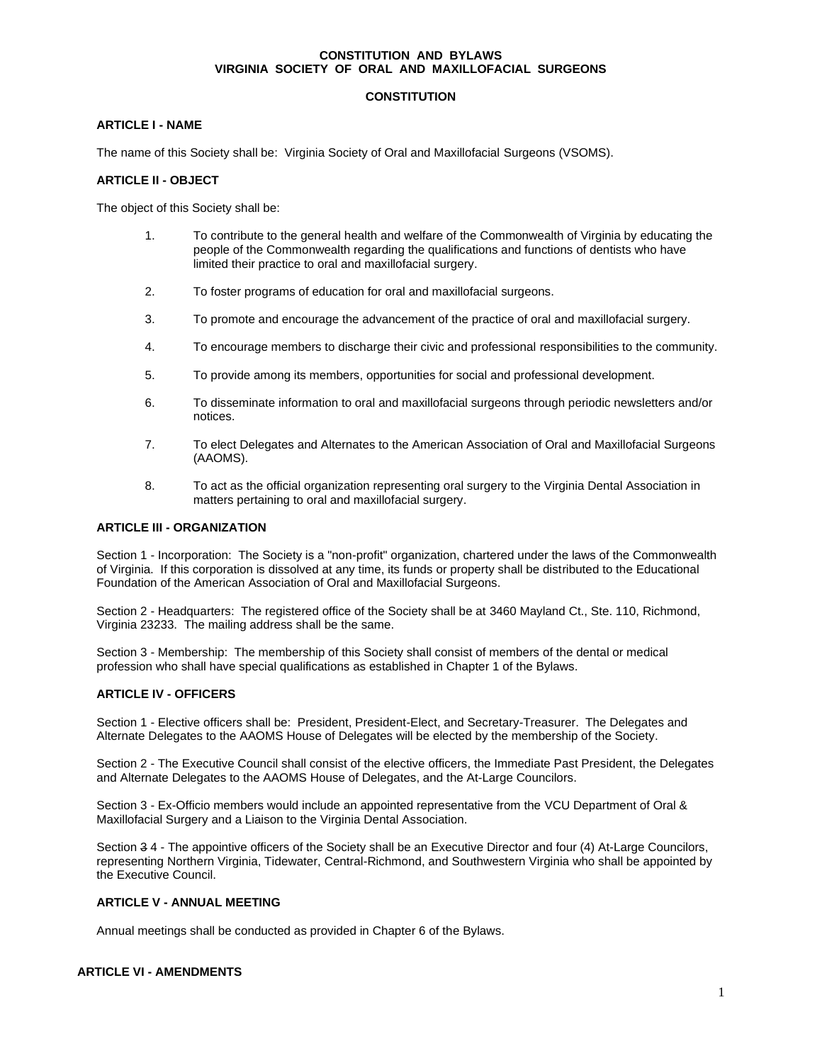#### **CONSTITUTION AND BYLAWS VIRGINIA SOCIETY OF ORAL AND MAXILLOFACIAL SURGEONS**

# **CONSTITUTION**

# **ARTICLE I - NAME**

The name of this Society shall be: Virginia Society of Oral and Maxillofacial Surgeons (VSOMS).

# **ARTICLE II - OBJECT**

The object of this Society shall be:

- 1. To contribute to the general health and welfare of the Commonwealth of Virginia by educating the people of the Commonwealth regarding the qualifications and functions of dentists who have limited their practice to oral and maxillofacial surgery.
- 2. To foster programs of education for oral and maxillofacial surgeons.
- 3. To promote and encourage the advancement of the practice of oral and maxillofacial surgery.
- 4. To encourage members to discharge their civic and professional responsibilities to the community.
- 5. To provide among its members, opportunities for social and professional development.
- 6. To disseminate information to oral and maxillofacial surgeons through periodic newsletters and/or notices.
- 7. To elect Delegates and Alternates to the American Association of Oral and Maxillofacial Surgeons (AAOMS).
- 8. To act as the official organization representing oral surgery to the Virginia Dental Association in matters pertaining to oral and maxillofacial surgery.

#### **ARTICLE III - ORGANIZATION**

Section 1 - Incorporation: The Society is a "non-profit" organization, chartered under the laws of the Commonwealth of Virginia. If this corporation is dissolved at any time, its funds or property shall be distributed to the Educational Foundation of the American Association of Oral and Maxillofacial Surgeons.

Section 2 - Headquarters: The registered office of the Society shall be at 3460 Mayland Ct., Ste. 110, Richmond, Virginia 23233. The mailing address shall be the same.

Section 3 - Membership: The membership of this Society shall consist of members of the dental or medical profession who shall have special qualifications as established in Chapter 1 of the Bylaws.

# **ARTICLE IV - OFFICERS**

Section 1 - Elective officers shall be: President, President-Elect, and Secretary-Treasurer. The Delegates and Alternate Delegates to the AAOMS House of Delegates will be elected by the membership of the Society.

Section 2 - The Executive Council shall consist of the elective officers, the Immediate Past President, the Delegates and Alternate Delegates to the AAOMS House of Delegates, and the At-Large Councilors.

Section 3 - Ex-Officio members would include an appointed representative from the VCU Department of Oral & Maxillofacial Surgery and a Liaison to the Virginia Dental Association.

Section 3 4 - The appointive officers of the Society shall be an Executive Director and four (4) At-Large Councilors, representing Northern Virginia, Tidewater, Central-Richmond, and Southwestern Virginia who shall be appointed by the Executive Council.

### **ARTICLE V - ANNUAL MEETING**

Annual meetings shall be conducted as provided in Chapter 6 of the Bylaws.

# **ARTICLE VI - AMENDMENTS**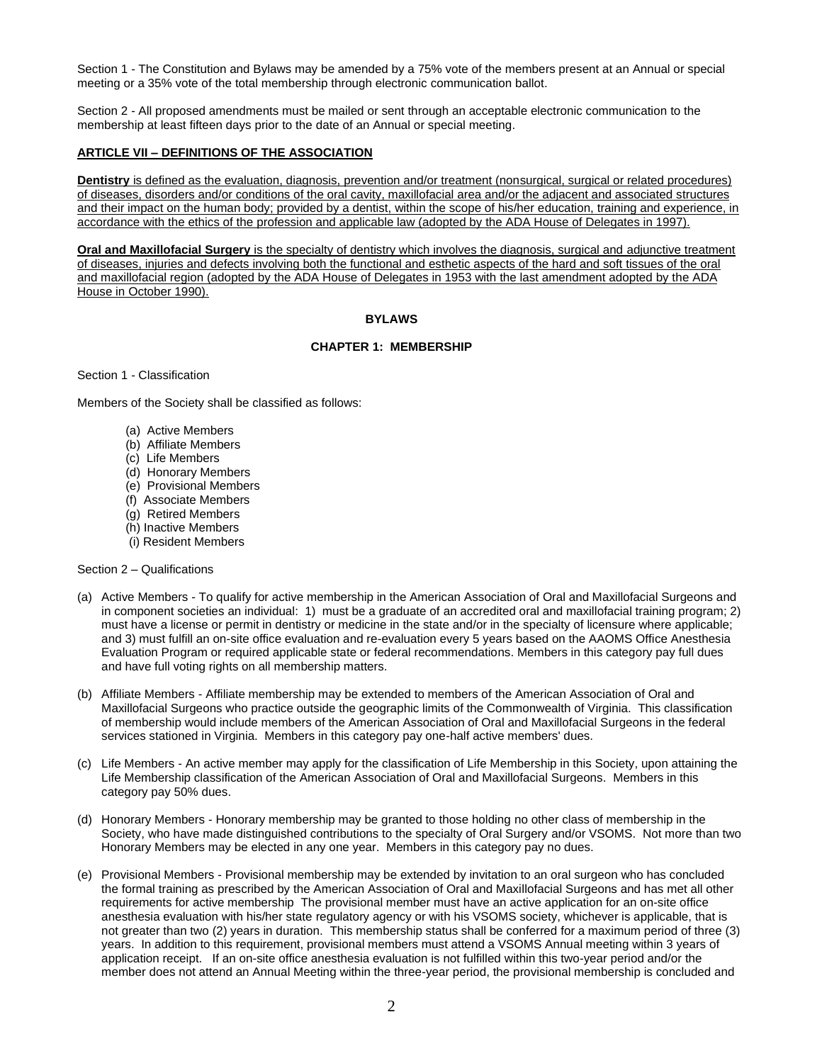Section 1 - The Constitution and Bylaws may be amended by a 75% vote of the members present at an Annual or special meeting or a 35% vote of the total membership through electronic communication ballot.

Section 2 - All proposed amendments must be mailed or sent through an acceptable electronic communication to the membership at least fifteen days prior to the date of an Annual or special meeting.

#### **ARTICLE VII – DEFINITIONS OF THE ASSOCIATION**

**Dentistry** is defined as the evaluation, diagnosis, prevention and/or treatment (nonsurgical, surgical or related procedures) of diseases, disorders and/or conditions of the oral cavity, maxillofacial area and/or the adjacent and associated structures and their impact on the human body; provided by a dentist, within the scope of his/her education, training and experience, in accordance with the ethics of the profession and applicable law (adopted by the ADA House of Delegates in 1997).

**Oral and Maxillofacial Surgery** is the specialty of dentistry which involves the diagnosis, surgical and adjunctive treatment of diseases, injuries and defects involving both the functional and esthetic aspects of the hard and soft tissues of the oral and maxillofacial region (adopted by the ADA House of Delegates in 1953 with the last amendment adopted by the ADA House in October 1990).

# **BYLAWS**

# **CHAPTER 1: MEMBERSHIP**

Section 1 - Classification

Members of the Society shall be classified as follows:

- (a) Active Members
- (b) Affiliate Members
- (c) Life Members
- (d) Honorary Members
- (e) Provisional Members
- (f) Associate Members
- (g) Retired Members
- (h) Inactive Members
- (i) Resident Members

#### Section 2 – Qualifications

- (a) Active Members To qualify for active membership in the American Association of Oral and Maxillofacial Surgeons and in component societies an individual: 1) must be a graduate of an accredited oral and maxillofacial training program; 2) must have a license or permit in dentistry or medicine in the state and/or in the specialty of licensure where applicable; and 3) must fulfill an on-site office evaluation and re-evaluation every 5 years based on the AAOMS Office Anesthesia Evaluation Program or required applicable state or federal recommendations. Members in this category pay full dues and have full voting rights on all membership matters.
- (b) Affiliate Members Affiliate membership may be extended to members of the American Association of Oral and Maxillofacial Surgeons who practice outside the geographic limits of the Commonwealth of Virginia. This classification of membership would include members of the American Association of Oral and Maxillofacial Surgeons in the federal services stationed in Virginia. Members in this category pay one-half active members' dues.
- (c) Life Members An active member may apply for the classification of Life Membership in this Society, upon attaining the Life Membership classification of the American Association of Oral and Maxillofacial Surgeons. Members in this category pay 50% dues.
- (d) Honorary Members Honorary membership may be granted to those holding no other class of membership in the Society, who have made distinguished contributions to the specialty of Oral Surgery and/or VSOMS. Not more than two Honorary Members may be elected in any one year. Members in this category pay no dues.
- (e) Provisional Members Provisional membership may be extended by invitation to an oral surgeon who has concluded the formal training as prescribed by the American Association of Oral and Maxillofacial Surgeons and has met all other requirements for active membership The provisional member must have an active application for an on-site office anesthesia evaluation with his/her state regulatory agency or with his VSOMS society, whichever is applicable, that is not greater than two (2) years in duration. This membership status shall be conferred for a maximum period of three (3) years. In addition to this requirement, provisional members must attend a VSOMS Annual meeting within 3 years of application receipt. If an on-site office anesthesia evaluation is not fulfilled within this two-year period and/or the member does not attend an Annual Meeting within the three-year period, the provisional membership is concluded and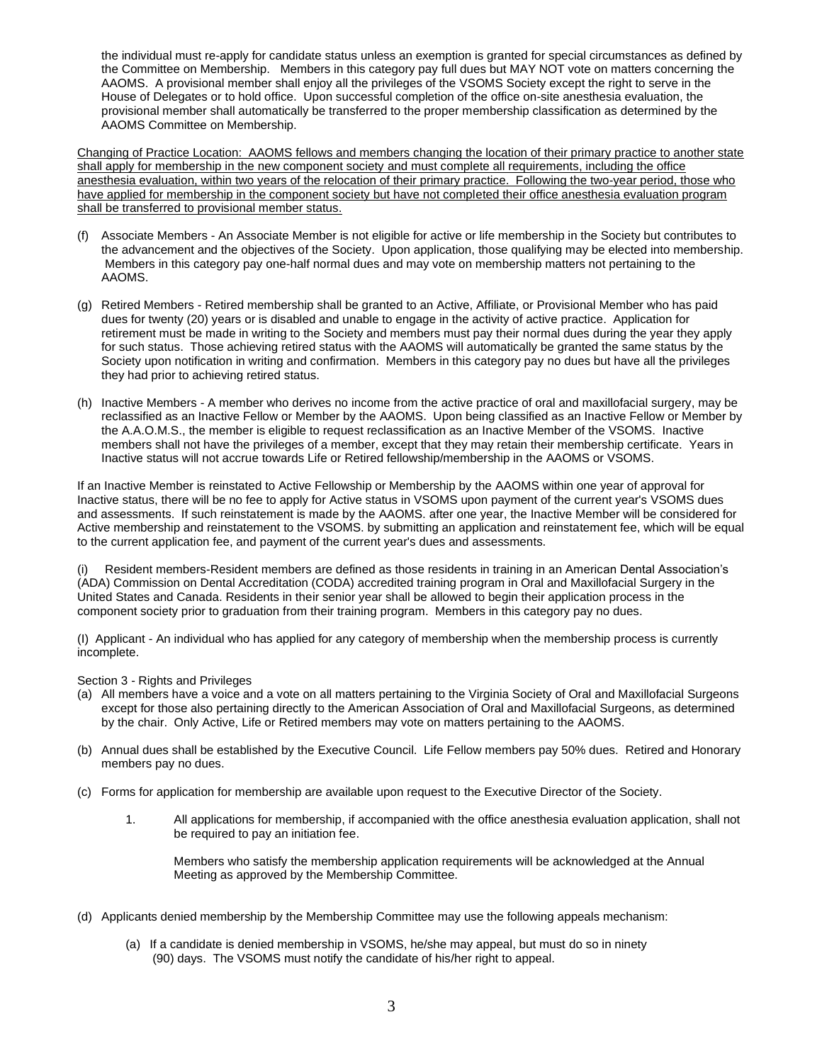the individual must re-apply for candidate status unless an exemption is granted for special circumstances as defined by the Committee on Membership. Members in this category pay full dues but MAY NOT vote on matters concerning the AAOMS. A provisional member shall enjoy all the privileges of the VSOMS Society except the right to serve in the House of Delegates or to hold office. Upon successful completion of the office on-site anesthesia evaluation, the provisional member shall automatically be transferred to the proper membership classification as determined by the AAOMS Committee on Membership.

Changing of Practice Location: AAOMS fellows and members changing the location of their primary practice to another state shall apply for membership in the new component society and must complete all requirements, including the office anesthesia evaluation, within two years of the relocation of their primary practice. Following the two-year period, those who have applied for membership in the component society but have not completed their office anesthesia evaluation program shall be transferred to provisional member status.

- (f) Associate Members An Associate Member is not eligible for active or life membership in the Society but contributes to the advancement and the objectives of the Society. Upon application, those qualifying may be elected into membership. Members in this category pay one-half normal dues and may vote on membership matters not pertaining to the AAOMS.
- (g) Retired Members Retired membership shall be granted to an Active, Affiliate, or Provisional Member who has paid dues for twenty (20) years or is disabled and unable to engage in the activity of active practice. Application for retirement must be made in writing to the Society and members must pay their normal dues during the year they apply for such status. Those achieving retired status with the AAOMS will automatically be granted the same status by the Society upon notification in writing and confirmation. Members in this category pay no dues but have all the privileges they had prior to achieving retired status.
- (h) Inactive Members A member who derives no income from the active practice of oral and maxillofacial surgery, may be reclassified as an Inactive Fellow or Member by the AAOMS. Upon being classified as an Inactive Fellow or Member by the A.A.O.M.S., the member is eligible to request reclassification as an Inactive Member of the VSOMS. Inactive members shall not have the privileges of a member, except that they may retain their membership certificate. Years in Inactive status will not accrue towards Life or Retired fellowship/membership in the AAOMS or VSOMS.

If an Inactive Member is reinstated to Active Fellowship or Membership by the AAOMS within one year of approval for Inactive status, there will be no fee to apply for Active status in VSOMS upon payment of the current year's VSOMS dues and assessments. If such reinstatement is made by the AAOMS. after one year, the Inactive Member will be considered for Active membership and reinstatement to the VSOMS. by submitting an application and reinstatement fee, which will be equal to the current application fee, and payment of the current year's dues and assessments.

(i) Resident members-Resident members are defined as those residents in training in an American Dental Association's (ADA) Commission on Dental Accreditation (CODA) accredited training program in Oral and Maxillofacial Surgery in the United States and Canada. Residents in their senior year shall be allowed to begin their application process in the component society prior to graduation from their training program. Members in this category pay no dues.

(I) Applicant - An individual who has applied for any category of membership when the membership process is currently incomplete.

Section 3 - Rights and Privileges

- (a) All members have a voice and a vote on all matters pertaining to the Virginia Society of Oral and Maxillofacial Surgeons except for those also pertaining directly to the American Association of Oral and Maxillofacial Surgeons, as determined by the chair. Only Active, Life or Retired members may vote on matters pertaining to the AAOMS.
- (b) Annual dues shall be established by the Executive Council. Life Fellow members pay 50% dues. Retired and Honorary members pay no dues.
- (c) Forms for application for membership are available upon request to the Executive Director of the Society.
	- 1. All applications for membership, if accompanied with the office anesthesia evaluation application, shall not be required to pay an initiation fee.

Members who satisfy the membership application requirements will be acknowledged at the Annual Meeting as approved by the Membership Committee.

- (d) Applicants denied membership by the Membership Committee may use the following appeals mechanism:
	- (a) If a candidate is denied membership in VSOMS, he/she may appeal, but must do so in ninety (90) days. The VSOMS must notify the candidate of his/her right to appeal.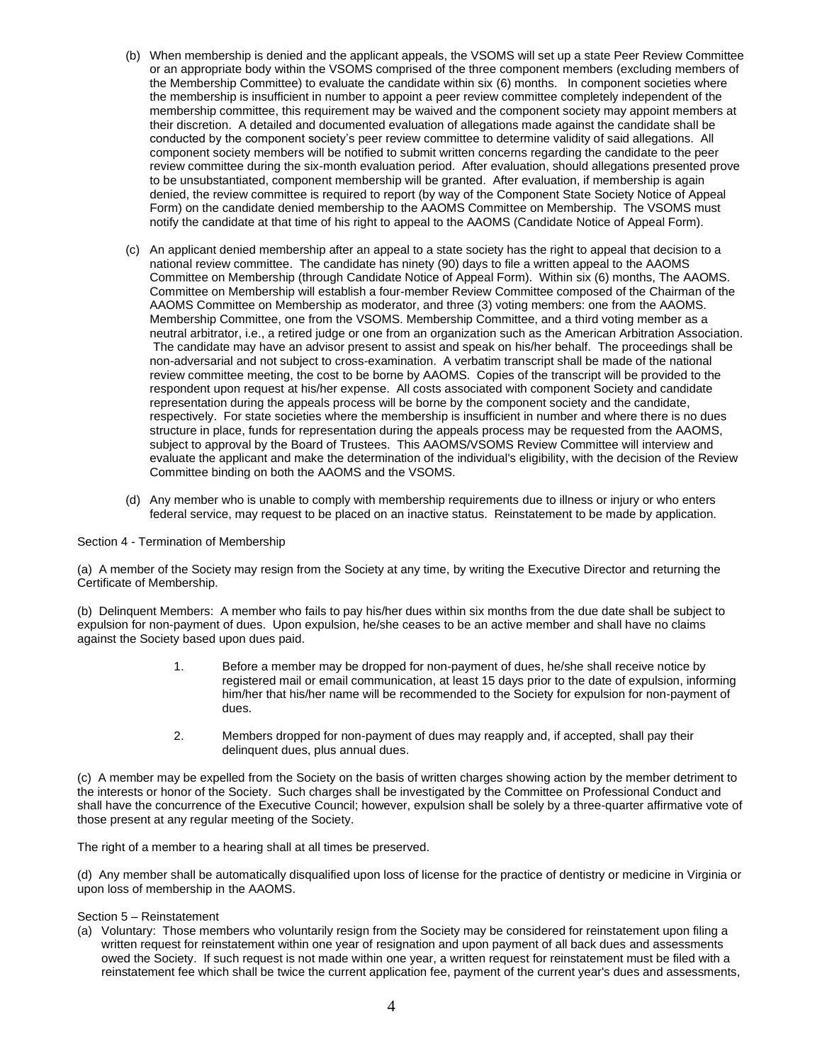- (b) When membership is denied and the applicant appeals, the VSOMS will set up a state Peer Review Committee or an appropriate body within the VSOMS comprised of the three component members (excluding members of the Membership Committee) to evaluate the candidate within six (6) months. In component societies where the membership is insufficient in number to appoint a peer review committee completely independent of the membership committee, this requirement may be waived and the component society may appoint members at their discretion. A detailed and documented evaluation of allegations made against the candidate shall be conducted by the component society's peer review committee to determine validity of said allegations. All component society members will be notified to submit written concerns regarding the candidate to the peer review committee during the six-month evaluation period. After evaluation, should allegations presented prove to be unsubstantiated, component membership will be granted. After evaluation, if membership is again denied, the review committee is required to report (by way of the Component State Society Notice of Appeal Form) on the candidate denied membership to the AAOMS Committee on Membership. The VSOMS must notify the candidate at that time of his right to appeal to the AAOMS (Candidate Notice of Appeal Form).
- (c) An applicant denied membership after an appeal to a state society has the right to appeal that decision to a national review committee. The candidate has ninety (90) days to file a written appeal to the AAOMS Committee on Membership (through Candidate Notice of Appeal Form). Within six (6) months, The AAOMS. Committee on Membership will establish a four-member Review Committee composed of the Chairman of the AAOMS Committee on Membership as moderator, and three (3) voting members: one from the AAOMS. Membership Committee, one from the VSOMS. Membership Committee, and a third voting member as a neutral arbitrator, i.e., a retired judge or one from an organization such as the American Arbitration Association. The candidate may have an advisor present to assist and speak on his/her behalf. The proceedings shall be non-adversarial and not subject to cross-examination. A verbatim transcript shall be made of the national review committee meeting, the cost to be borne by AAOMS. Copies of the transcript will be provided to the respondent upon request at his/her expense. All costs associated with component Society and candidate representation during the appeals process will be borne by the component society and the candidate, respectively. For state societies where the membership is insufficient in number and where there is no dues structure in place, funds for representation during the appeals process may be requested from the AAOMS, subject to approval by the Board of Trustees. This AAOMS/VSOMS Review Committee will interview and evaluate the applicant and make the determination of the individual's eligibility, with the decision of the Review Committee binding on both the AAOMS and the VSOMS.
- (d) Any member who is unable to comply with membership requirements due to illness or injury or who enters federal service, may request to be placed on an inactive status. Reinstatement to be made by application.

#### Section 4 - Termination of Membership

(a) A member of the Society may resign from the Society at any time, by writing the Executive Director and returning the Certificate of Membership.

(b) Delinquent Members: A member who fails to pay his/her dues within six months from the due date shall be subject to expulsion for non-payment of dues. Upon expulsion, he/she ceases to be an active member and shall have no claims against the Society based upon dues paid.

- 1. Before a member may be dropped for non-payment of dues, he/she shall receive notice by registered mail or email communication, at least 15 days prior to the date of expulsion, informing him/her that his/her name will be recommended to the Society for expulsion for non-payment of dues.
- 2. Members dropped for non-payment of dues may reapply and, if accepted, shall pay their delinquent dues, plus annual dues.

(c) A member may be expelled from the Society on the basis of written charges showing action by the member detriment to the interests or honor of the Society. Such charges shall be investigated by the Committee on Professional Conduct and shall have the concurrence of the Executive Council; however, expulsion shall be solely by a three-quarter affirmative vote of those present at any regular meeting of the Society.

The right of a member to a hearing shall at all times be preserved.

(d) Any member shall be automatically disqualified upon loss of license for the practice of dentistry or medicine in Virginia or upon loss of membership in the AAOMS.

#### Section 5 – Reinstatement

(a) Voluntary: Those members who voluntarily resign from the Society may be considered for reinstatement upon filing a written request for reinstatement within one year of resignation and upon payment of all back dues and assessments owed the Society. If such request is not made within one year, a written request for reinstatement must be filed with a reinstatement fee which shall be twice the current application fee, payment of the current year's dues and assessments,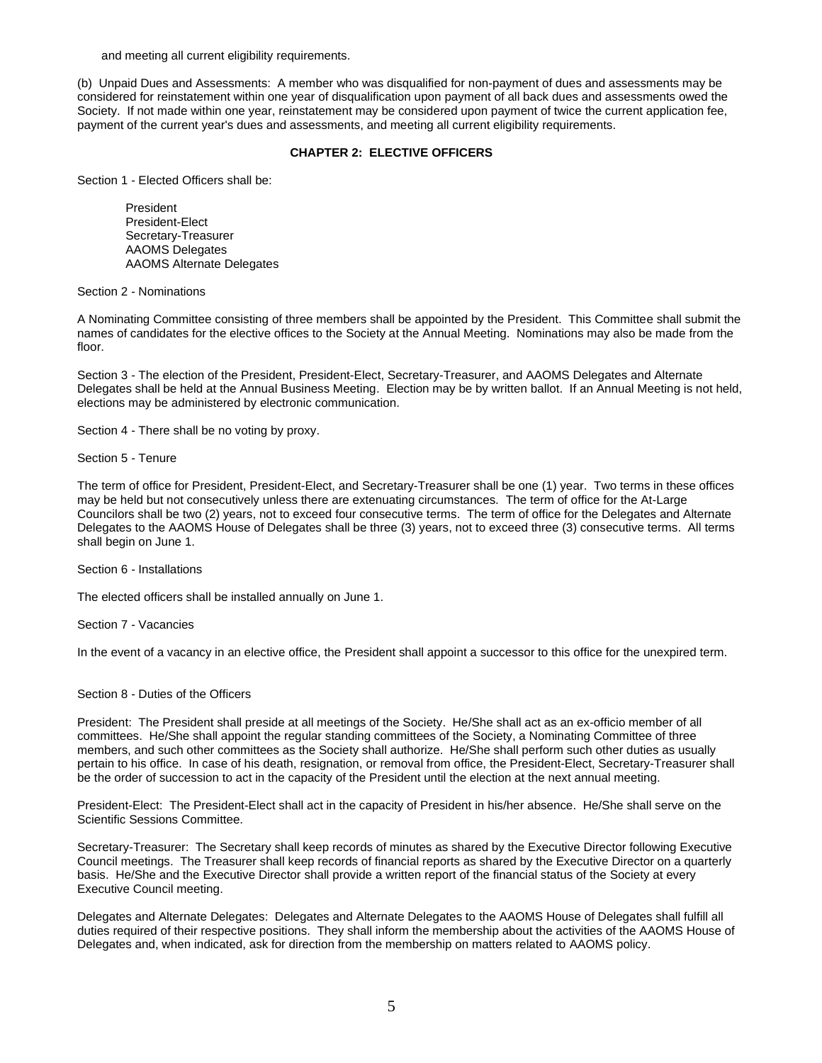and meeting all current eligibility requirements.

(b) Unpaid Dues and Assessments: A member who was disqualified for non-payment of dues and assessments may be considered for reinstatement within one year of disqualification upon payment of all back dues and assessments owed the Society. If not made within one year, reinstatement may be considered upon payment of twice the current application fee, payment of the current year's dues and assessments, and meeting all current eligibility requirements.

# **CHAPTER 2: ELECTIVE OFFICERS**

Section 1 - Elected Officers shall be:

President President-Elect Secretary-Treasurer AAOMS Delegates AAOMS Alternate Delegates

Section 2 - Nominations

A Nominating Committee consisting of three members shall be appointed by the President. This Committee shall submit the names of candidates for the elective offices to the Society at the Annual Meeting. Nominations may also be made from the floor.

Section 3 - The election of the President, President-Elect, Secretary-Treasurer, and AAOMS Delegates and Alternate Delegates shall be held at the Annual Business Meeting. Election may be by written ballot. If an Annual Meeting is not held, elections may be administered by electronic communication.

Section 4 - There shall be no voting by proxy.

Section 5 - Tenure

The term of office for President, President-Elect, and Secretary-Treasurer shall be one (1) year. Two terms in these offices may be held but not consecutively unless there are extenuating circumstances. The term of office for the At-Large Councilors shall be two (2) years, not to exceed four consecutive terms. The term of office for the Delegates and Alternate Delegates to the AAOMS House of Delegates shall be three (3) years, not to exceed three (3) consecutive terms. All terms shall begin on June 1.

Section 6 - Installations

The elected officers shall be installed annually on June 1.

Section 7 - Vacancies

In the event of a vacancy in an elective office, the President shall appoint a successor to this office for the unexpired term.

Section 8 - Duties of the Officers

President: The President shall preside at all meetings of the Society. He/She shall act as an ex-officio member of all committees. He/She shall appoint the regular standing committees of the Society, a Nominating Committee of three members, and such other committees as the Society shall authorize. He/She shall perform such other duties as usually pertain to his office. In case of his death, resignation, or removal from office, the President-Elect, Secretary-Treasurer shall be the order of succession to act in the capacity of the President until the election at the next annual meeting.

President-Elect: The President-Elect shall act in the capacity of President in his/her absence. He/She shall serve on the Scientific Sessions Committee.

Secretary-Treasurer: The Secretary shall keep records of minutes as shared by the Executive Director following Executive Council meetings. The Treasurer shall keep records of financial reports as shared by the Executive Director on a quarterly basis. He/She and the Executive Director shall provide a written report of the financial status of the Society at every Executive Council meeting.

Delegates and Alternate Delegates: Delegates and Alternate Delegates to the AAOMS House of Delegates shall fulfill all duties required of their respective positions. They shall inform the membership about the activities of the AAOMS House of Delegates and, when indicated, ask for direction from the membership on matters related to AAOMS policy.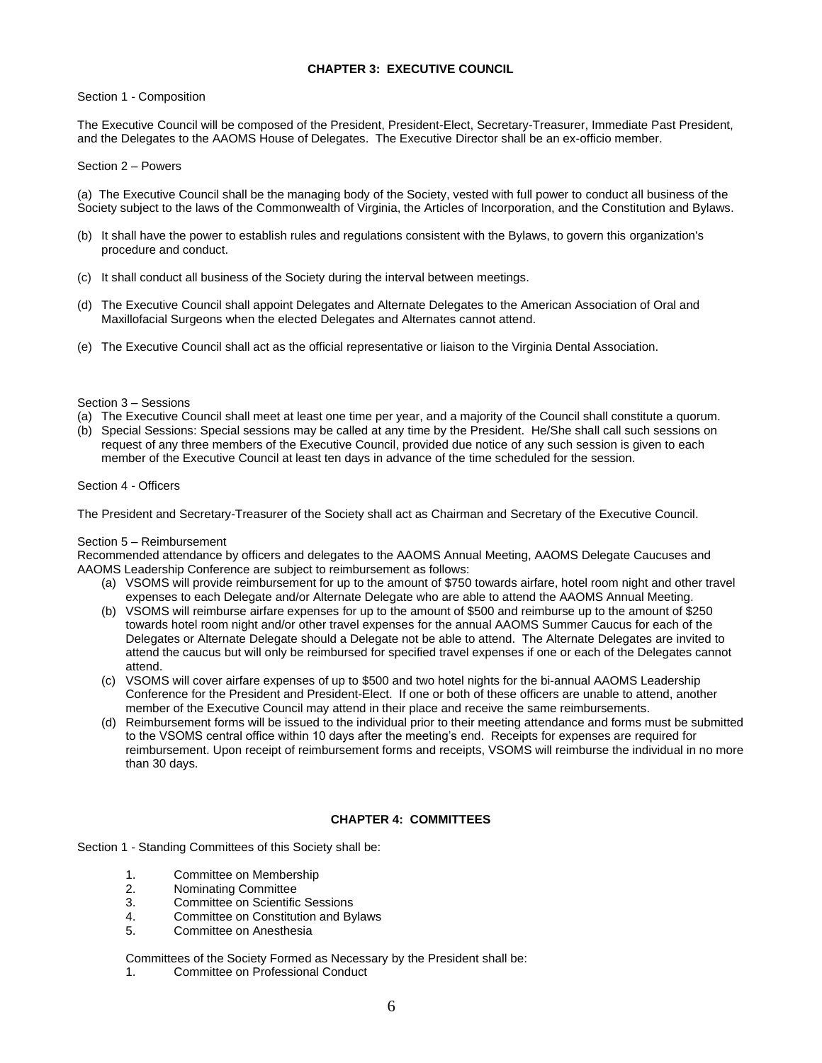# **CHAPTER 3: EXECUTIVE COUNCIL**

#### Section 1 - Composition

The Executive Council will be composed of the President, President-Elect, Secretary-Treasurer, Immediate Past President, and the Delegates to the AAOMS House of Delegates. The Executive Director shall be an ex-officio member.

Section 2 – Powers

(a) The Executive Council shall be the managing body of the Society, vested with full power to conduct all business of the Society subject to the laws of the Commonwealth of Virginia, the Articles of Incorporation, and the Constitution and Bylaws.

- (b) It shall have the power to establish rules and regulations consistent with the Bylaws, to govern this organization's procedure and conduct.
- (c) It shall conduct all business of the Society during the interval between meetings.
- (d) The Executive Council shall appoint Delegates and Alternate Delegates to the American Association of Oral and Maxillofacial Surgeons when the elected Delegates and Alternates cannot attend.
- (e) The Executive Council shall act as the official representative or liaison to the Virginia Dental Association.

#### Section 3 – Sessions

- (a) The Executive Council shall meet at least one time per year, and a majority of the Council shall constitute a quorum.
- (b) Special Sessions: Special sessions may be called at any time by the President. He/She shall call such sessions on request of any three members of the Executive Council, provided due notice of any such session is given to each member of the Executive Council at least ten days in advance of the time scheduled for the session.

#### Section 4 - Officers

The President and Secretary-Treasurer of the Society shall act as Chairman and Secretary of the Executive Council.

#### Section 5 – Reimbursement

Recommended attendance by officers and delegates to the AAOMS Annual Meeting, AAOMS Delegate Caucuses and AAOMS Leadership Conference are subject to reimbursement as follows:

- (a) VSOMS will provide reimbursement for up to the amount of \$750 towards airfare, hotel room night and other travel expenses to each Delegate and/or Alternate Delegate who are able to attend the AAOMS Annual Meeting.
- (b) VSOMS will reimburse airfare expenses for up to the amount of \$500 and reimburse up to the amount of \$250 towards hotel room night and/or other travel expenses for the annual AAOMS Summer Caucus for each of the Delegates or Alternate Delegate should a Delegate not be able to attend. The Alternate Delegates are invited to attend the caucus but will only be reimbursed for specified travel expenses if one or each of the Delegates cannot attend.
- (c) VSOMS will cover airfare expenses of up to \$500 and two hotel nights for the bi-annual AAOMS Leadership Conference for the President and President-Elect. If one or both of these officers are unable to attend, another member of the Executive Council may attend in their place and receive the same reimbursements.
- (d) Reimbursement forms will be issued to the individual prior to their meeting attendance and forms must be submitted to the VSOMS central office within 10 days after the meeting's end. Receipts for expenses are required for reimbursement. Upon receipt of reimbursement forms and receipts, VSOMS will reimburse the individual in no more than 30 days.

# **CHAPTER 4: COMMITTEES**

Section 1 - Standing Committees of this Society shall be:

- 1. Committee on Membership
- 2. Nominating Committee
- 3. Committee on Scientific Sessions
- 4. Committee on Constitution and Bylaws
- 5. Committee on Anesthesia

Committees of the Society Formed as Necessary by the President shall be:

1. Committee on Professional Conduct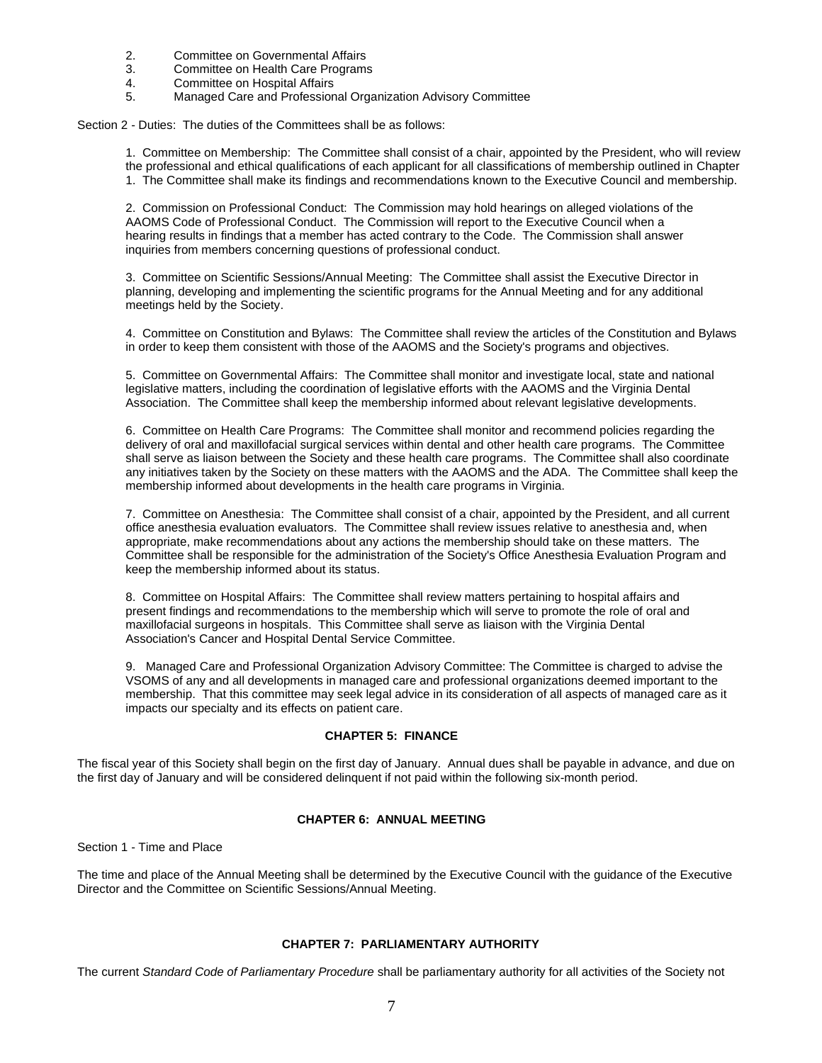- 2. Committee on Governmental Affairs
- 3. Committee on Health Care Programs<br>4. Committee on Hospital Affairs
- 4. Committee on Hospital Affairs
- 5. Managed Care and Professional Organization Advisory Committee

Section 2 - Duties: The duties of the Committees shall be as follows:

1. Committee on Membership: The Committee shall consist of a chair, appointed by the President, who will review the professional and ethical qualifications of each applicant for all classifications of membership outlined in Chapter 1. The Committee shall make its findings and recommendations known to the Executive Council and membership.

2. Commission on Professional Conduct: The Commission may hold hearings on alleged violations of the AAOMS Code of Professional Conduct. The Commission will report to the Executive Council when a hearing results in findings that a member has acted contrary to the Code. The Commission shall answer inquiries from members concerning questions of professional conduct.

3. Committee on Scientific Sessions/Annual Meeting: The Committee shall assist the Executive Director in planning, developing and implementing the scientific programs for the Annual Meeting and for any additional meetings held by the Society.

4. Committee on Constitution and Bylaws: The Committee shall review the articles of the Constitution and Bylaws in order to keep them consistent with those of the AAOMS and the Society's programs and objectives.

5. Committee on Governmental Affairs: The Committee shall monitor and investigate local, state and national legislative matters, including the coordination of legislative efforts with the AAOMS and the Virginia Dental Association. The Committee shall keep the membership informed about relevant legislative developments.

6. Committee on Health Care Programs: The Committee shall monitor and recommend policies regarding the delivery of oral and maxillofacial surgical services within dental and other health care programs. The Committee shall serve as liaison between the Society and these health care programs. The Committee shall also coordinate any initiatives taken by the Society on these matters with the AAOMS and the ADA. The Committee shall keep the membership informed about developments in the health care programs in Virginia.

7. Committee on Anesthesia: The Committee shall consist of a chair, appointed by the President, and all current office anesthesia evaluation evaluators. The Committee shall review issues relative to anesthesia and, when appropriate, make recommendations about any actions the membership should take on these matters. The Committee shall be responsible for the administration of the Society's Office Anesthesia Evaluation Program and keep the membership informed about its status.

8. Committee on Hospital Affairs: The Committee shall review matters pertaining to hospital affairs and present findings and recommendations to the membership which will serve to promote the role of oral and maxillofacial surgeons in hospitals. This Committee shall serve as liaison with the Virginia Dental Association's Cancer and Hospital Dental Service Committee.

9. Managed Care and Professional Organization Advisory Committee: The Committee is charged to advise the VSOMS of any and all developments in managed care and professional organizations deemed important to the membership. That this committee may seek legal advice in its consideration of all aspects of managed care as it impacts our specialty and its effects on patient care.

# **CHAPTER 5: FINANCE**

The fiscal year of this Society shall begin on the first day of January. Annual dues shall be payable in advance, and due on the first day of January and will be considered delinquent if not paid within the following six-month period.

# **CHAPTER 6: ANNUAL MEETING**

Section 1 - Time and Place

The time and place of the Annual Meeting shall be determined by the Executive Council with the guidance of the Executive Director and the Committee on Scientific Sessions/Annual Meeting.

# **CHAPTER 7: PARLIAMENTARY AUTHORITY**

The current *Standard Code of Parliamentary Procedure* shall be parliamentary authority for all activities of the Society not